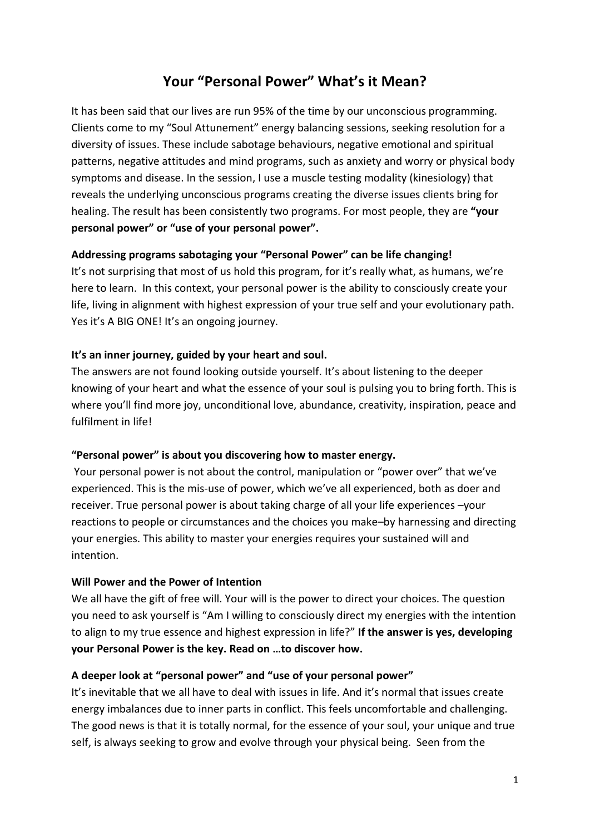# **Your "Personal Power" What's it Mean?**

It has been said that our lives are run 95% of the time by our unconscious programming. Clients come to my "Soul Attunement" energy balancing sessions, seeking resolution for a diversity of issues. These include sabotage behaviours, negative emotional and spiritual patterns, negative attitudes and mind programs, such as anxiety and worry or physical body symptoms and disease. In the session, I use a muscle testing modality (kinesiology) that reveals the underlying unconscious programs creating the diverse issues clients bring for healing. The result has been consistently two programs. For most people, they are **"your personal power" or "use of your personal power".** 

## **Addressing programs sabotaging your "Personal Power" can be life changing!**

It's not surprising that most of us hold this program, for it's really what, as humans, we're here to learn. In this context, your personal power is the ability to consciously create your life, living in alignment with highest expression of your true self and your evolutionary path. Yes it's A BIG ONE! It's an ongoing journey.

## **It's an inner journey, guided by your heart and soul.**

The answers are not found looking outside yourself. It's about listening to the deeper knowing of your heart and what the essence of your soul is pulsing you to bring forth. This is where you'll find more joy, unconditional love, abundance, creativity, inspiration, peace and fulfilment in life!

## **"Personal power" is about you discovering how to master energy.**

 Your personal power is not about the control, manipulation or "power over" that we've experienced. This is the mis-use of power, which we've all experienced, both as doer and receiver. True personal power is about taking charge of all your life experiences –your reactions to people or circumstances and the choices you make–by harnessing and directing your energies. This ability to master your energies requires your sustained will and intention.

#### **Will Power and the Power of Intention**

We all have the gift of free will. Your will is the power to direct your choices. The question you need to ask yourself is "Am I willing to consciously direct my energies with the intention to align to my true essence and highest expression in life?" **If the answer is yes, developing your Personal Power is the key. Read on …to discover how.** 

## **A deeper look at "personal power" and "use of your personal power"**

It's inevitable that we all have to deal with issues in life. And it's normal that issues create energy imbalances due to inner parts in conflict. This feels uncomfortable and challenging. The good news is that it is totally normal, for the essence of your soul, your unique and true self, is always seeking to grow and evolve through your physical being. Seen from the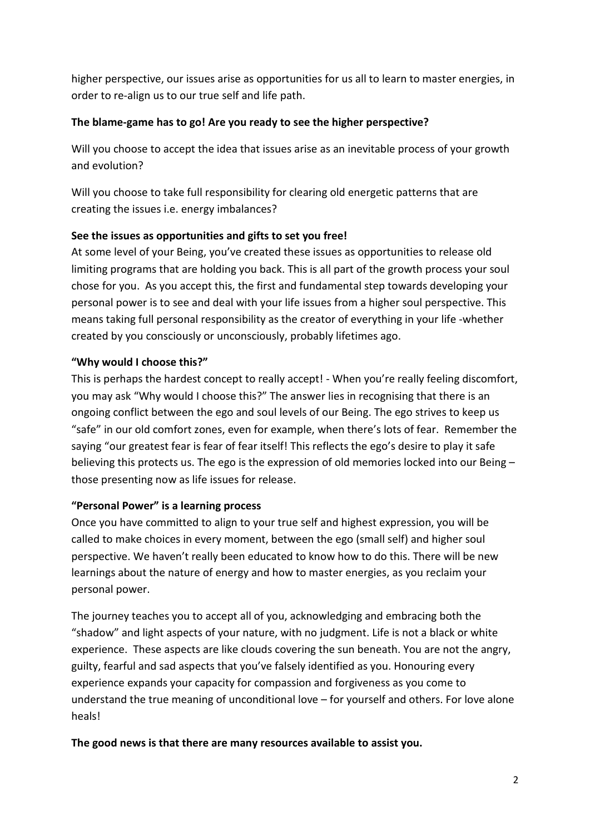higher perspective, our issues arise as opportunities for us all to learn to master energies, in order to re-align us to our true self and life path.

## **The blame-game has to go! Are you ready to see the higher perspective?**

Will you choose to accept the idea that issues arise as an inevitable process of your growth and evolution?

Will you choose to take full responsibility for clearing old energetic patterns that are creating the issues i.e. energy imbalances?

## **See the issues as opportunities and gifts to set you free!**

At some level of your Being, you've created these issues as opportunities to release old limiting programs that are holding you back. This is all part of the growth process your soul chose for you. As you accept this, the first and fundamental step towards developing your personal power is to see and deal with your life issues from a higher soul perspective. This means taking full personal responsibility as the creator of everything in your life -whether created by you consciously or unconsciously, probably lifetimes ago.

## **"Why would I choose this?"**

This is perhaps the hardest concept to really accept! - When you're really feeling discomfort, you may ask "Why would I choose this?" The answer lies in recognising that there is an ongoing conflict between the ego and soul levels of our Being. The ego strives to keep us "safe" in our old comfort zones, even for example, when there's lots of fear. Remember the saying "our greatest fear is fear of fear itself! This reflects the ego's desire to play it safe believing this protects us. The ego is the expression of old memories locked into our Being – those presenting now as life issues for release.

## **"Personal Power" is a learning process**

Once you have committed to align to your true self and highest expression, you will be called to make choices in every moment, between the ego (small self) and higher soul perspective. We haven't really been educated to know how to do this. There will be new learnings about the nature of energy and how to master energies, as you reclaim your personal power.

The journey teaches you to accept all of you, acknowledging and embracing both the "shadow" and light aspects of your nature, with no judgment. Life is not a black or white experience. These aspects are like clouds covering the sun beneath. You are not the angry, guilty, fearful and sad aspects that you've falsely identified as you. Honouring every experience expands your capacity for compassion and forgiveness as you come to understand the true meaning of unconditional love – for yourself and others. For love alone heals!

## **The good news is that there are many resources available to assist you.**